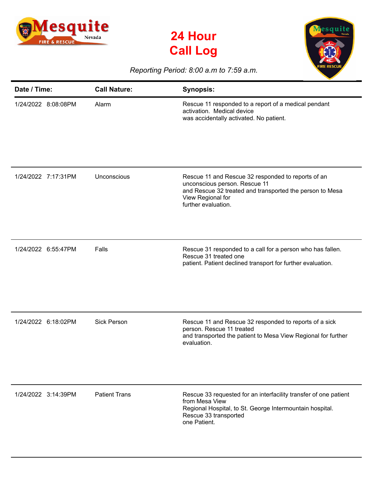





## *Reporting Period: 8:00 a.m to 7:59 a.m.*

| Date / Time:        | <b>Call Nature:</b>  | <b>Synopsis:</b>                                                                                                                                                                            |
|---------------------|----------------------|---------------------------------------------------------------------------------------------------------------------------------------------------------------------------------------------|
| 1/24/2022 8:08:08PM | Alarm                | Rescue 11 responded to a report of a medical pendant<br>activation. Medical device<br>was accidentally activated. No patient.                                                               |
| 1/24/2022 7:17:31PM | Unconscious          | Rescue 11 and Rescue 32 responded to reports of an<br>unconscious person. Rescue 11<br>and Rescue 32 treated and transported the person to Mesa<br>View Regional for<br>further evaluation. |
| 1/24/2022 6:55:47PM | Falls                | Rescue 31 responded to a call for a person who has fallen.<br>Rescue 31 treated one<br>patient. Patient declined transport for further evaluation.                                          |
| 1/24/2022 6:18:02PM | <b>Sick Person</b>   | Rescue 11 and Rescue 32 responded to reports of a sick<br>person. Rescue 11 treated<br>and transported the patient to Mesa View Regional for further<br>evaluation.                         |
| 1/24/2022 3:14:39PM | <b>Patient Trans</b> | Rescue 33 requested for an interfacility transfer of one patient<br>from Mesa View<br>Regional Hospital, to St. George Intermountain hospital.<br>Rescue 33 transported<br>one Patient.     |